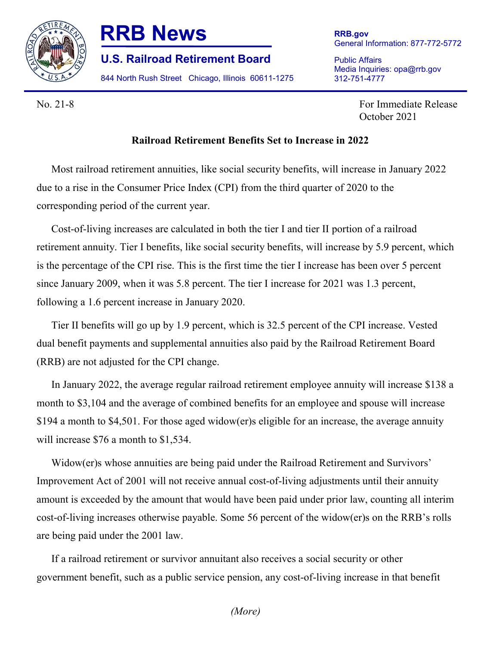

## **RRB News**

**U.S. Railroad Retirement Board**

844 North Rush Street Chicago, Illinois 60611-1275

Public Affairs Media Inquiries: opa@rrb.gov 312-751-4777

No. 21-8 For Immediate Release October 2021

## **Railroad Retirement Benefits Set to Increase in 2022**

Most railroad retirement annuities, like social security benefits, will increase in January 2022 due to a rise in the Consumer Price Index (CPI) from the third quarter of 2020 to the corresponding period of the current year.

Cost-of-living increases are calculated in both the tier I and tier II portion of a railroad retirement annuity. Tier I benefits, like social security benefits, will increase by 5.9 percent, which is the percentage of the CPI rise. This is the first time the tier I increase has been over 5 percent since January 2009, when it was 5.8 percent. The tier I increase for 2021 was 1.3 percent, following a 1.6 percent increase in January 2020.

Tier II benefits will go up by 1.9 percent, which is 32.5 percent of the CPI increase. Vested dual benefit payments and supplemental annuities also paid by the Railroad Retirement Board (RRB) are not adjusted for the CPI change.

In January 2022, the average regular railroad retirement employee annuity will increase \$138 a month to \$3,104 and the average of combined benefits for an employee and spouse will increase \$194 a month to \$4,501. For those aged widow(er)s eligible for an increase, the average annuity will increase \$76 a month to \$1,534.

Widow(er)s whose annuities are being paid under the Railroad Retirement and Survivors' Improvement Act of 2001 will not receive annual cost-of-living adjustments until their annuity amount is exceeded by the amount that would have been paid under prior law, counting all interim cost-of-living increases otherwise payable. Some 56 percent of the widow(er)s on the RRB's rolls are being paid under the 2001 law.

If a railroad retirement or survivor annuitant also receives a social security or other government benefit, such as a public service pension, any cost-of-living increase in that benefit